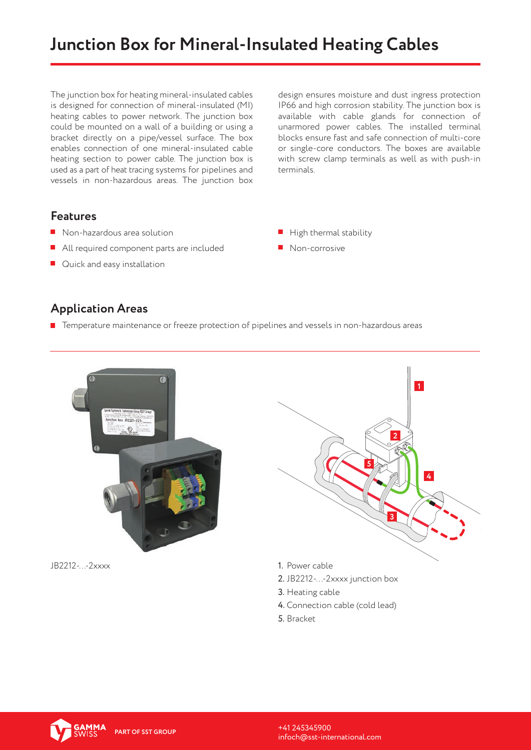# **Junction Box for Mineral-Insulated Heating Cables**

The junction box for heating mineral-insulated cables is designed for connection of mineral-insulated (MI) heating cables to power network. The junction box could be mounted on a wall of a building or using a bracket directly on a pipe/vessel surface. The box enables connection of one mineral-insulated cable heating section to power cable. The junction box is used as a part of heat tracing systems for pipelines and vessels in non-hazardous areas. The junction box

design ensures moisture and dust ingress protection IP66 and high corrosion stability. The junction box is available with cable glands for connection of unarmored power cables. The installed terminal blocks ensure fast and safe connection of multi-core or single-core conductors. The boxes are available with screw clamp terminals as well as with push-in terminals.

#### **Features**

- Non-hazardous area solution
- All required component parts are included
- **Quick and easy installation**
- $\blacksquare$  High thermal stability
- **Non-corrosive**

#### **Application Areas**

**T** Temperature maintenance or freeze protection of pipelines and vessels in non-hazardous areas



JB2212-...-2xxxx 1. Power cable



- 
- 2. JB2212-...-2xxxx junction box
- 3. Heating cable
- 4. Connection cable (cold lead)
- 5. Bracket